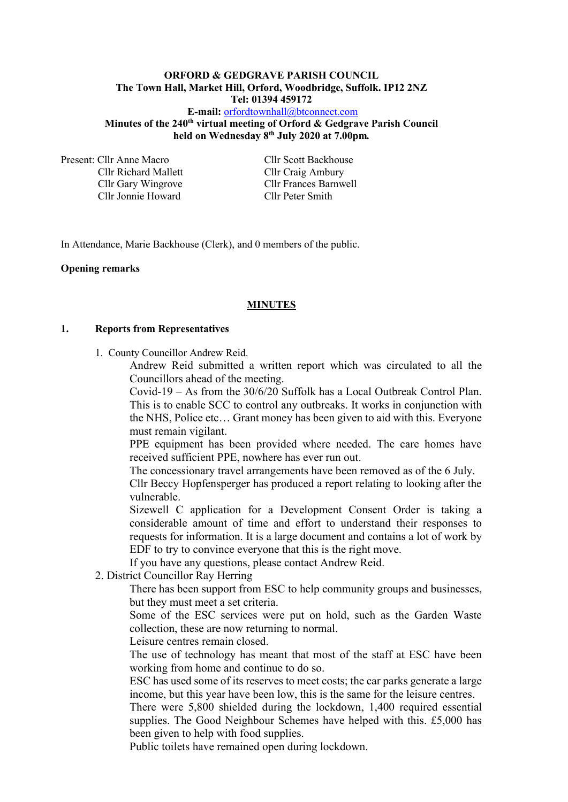### **ORFORD & GEDGRAVE PARISH COUNCIL The Town Hall, Market Hill, Orford, Woodbridge, Suffolk. IP12 2NZ Tel: 01394 459172**

**E-mail:** [orfordtownhall@btconnect.com](mailto:orfordtownhall@btconnect.com) **Minutes of the 240th virtual meeting of Orford & Gedgrave Parish Council held on Wednesday 8 th July 2020 at 7.00pm***.*

Present: Cllr Anne Macro Cllr Scott Backhouse Cllr Richard Mallett Cllr Craig Ambury Cllr Jonnie Howard Cllr Peter Smith

Cllr Gary Wingrove Cllr Frances Barnwell

In Attendance, Marie Backhouse (Clerk), and 0 members of the public.

### **Opening remarks**

#### **MINUTES**

#### **1. Reports from Representatives**

1. County Councillor Andrew Reid.

Andrew Reid submitted a written report which was circulated to all the Councillors ahead of the meeting.

Covid-19 – As from the 30/6/20 Suffolk has a Local Outbreak Control Plan. This is to enable SCC to control any outbreaks. It works in conjunction with the NHS, Police etc… Grant money has been given to aid with this. Everyone must remain vigilant.

PPE equipment has been provided where needed. The care homes have received sufficient PPE, nowhere has ever run out.

The concessionary travel arrangements have been removed as of the 6 July.

Cllr Beccy Hopfensperger has produced a report relating to looking after the vulnerable.

Sizewell C application for a Development Consent Order is taking a considerable amount of time and effort to understand their responses to requests for information. It is a large document and contains a lot of work by EDF to try to convince everyone that this is the right move.

If you have any questions, please contact Andrew Reid.

2. District Councillor Ray Herring

There has been support from ESC to help community groups and businesses, but they must meet a set criteria.

Some of the ESC services were put on hold, such as the Garden Waste collection, these are now returning to normal.

Leisure centres remain closed.

The use of technology has meant that most of the staff at ESC have been working from home and continue to do so.

ESC has used some of its reserves to meet costs; the car parks generate a large income, but this year have been low, this is the same for the leisure centres.

There were 5,800 shielded during the lockdown, 1,400 required essential supplies. The Good Neighbour Schemes have helped with this. £5,000 has been given to help with food supplies.

Public toilets have remained open during lockdown.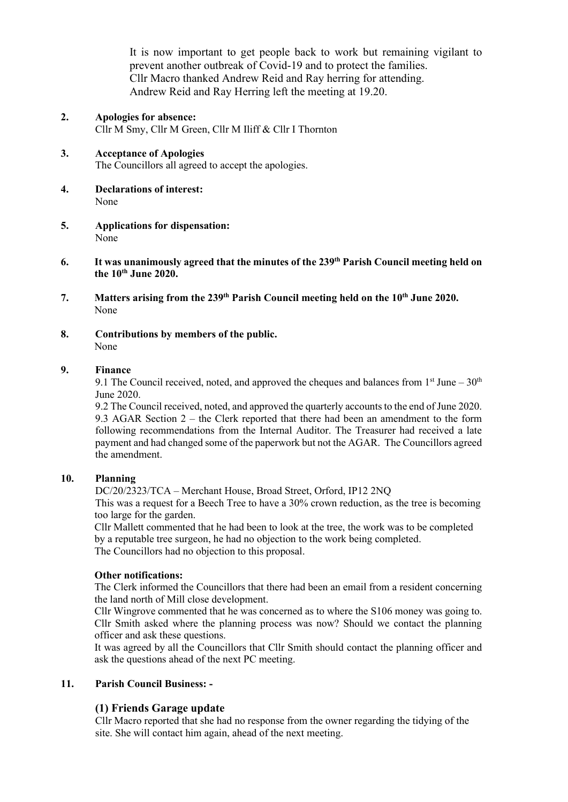It is now important to get people back to work but remaining vigilant to prevent another outbreak of Covid-19 and to protect the families. Cllr Macro thanked Andrew Reid and Ray herring for attending. Andrew Reid and Ray Herring left the meeting at 19.20.

- **2. Apologies for absence:** Cllr M Smy, Cllr M Green, Cllr M Iliff & Cllr I Thornton
- **3. Acceptance of Apologies** The Councillors all agreed to accept the apologies.
- **4. Declarations of interest:** None
- **5. Applications for dispensation:** None
- **6. It was unanimously agreed that the minutes of the 239 th Parish Council meeting held on the 10th June 2020.**
- **7. Matters arising from the 239th Parish Council meeting held on the 10th June 2020.** None
- **8. Contributions by members of the public.** None

#### **9. Finance**

9.1 The Council received, noted, and approved the cheques and balances from  $1<sup>st</sup>$  June –  $30<sup>th</sup>$ June 2020.

9.2 The Council received, noted, and approved the quarterly accounts to the end of June 2020. 9.3 AGAR Section 2 – the Clerk reported that there had been an amendment to the form following recommendations from the Internal Auditor. The Treasurer had received a late payment and had changed some of the paperwork but not the AGAR. The Councillors agreed the amendment.

#### **10. Planning**

DC/20/2323/TCA – Merchant House, Broad Street, Orford, IP12 2NQ

This was a request for a Beech Tree to have a 30% crown reduction, as the tree is becoming too large for the garden.

Cllr Mallett commented that he had been to look at the tree, the work was to be completed by a reputable tree surgeon, he had no objection to the work being completed. The Councillors had no objection to this proposal.

#### **Other notifications:**

The Clerk informed the Councillors that there had been an email from a resident concerning the land north of Mill close development.

Cllr Wingrove commented that he was concerned as to where the S106 money was going to. Cllr Smith asked where the planning process was now? Should we contact the planning officer and ask these questions.

It was agreed by all the Councillors that Cllr Smith should contact the planning officer and ask the questions ahead of the next PC meeting.

### **11. Parish Council Business: -**

### **(1) Friends Garage update**

Cllr Macro reported that she had no response from the owner regarding the tidying of the site. She will contact him again, ahead of the next meeting.